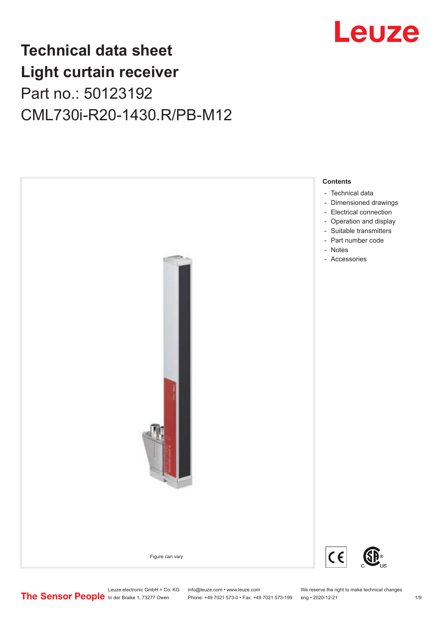

## **Technical data sheet Light curtain receiver** Part no.: 50123192 CML730i-R20-1430.R/PB-M12

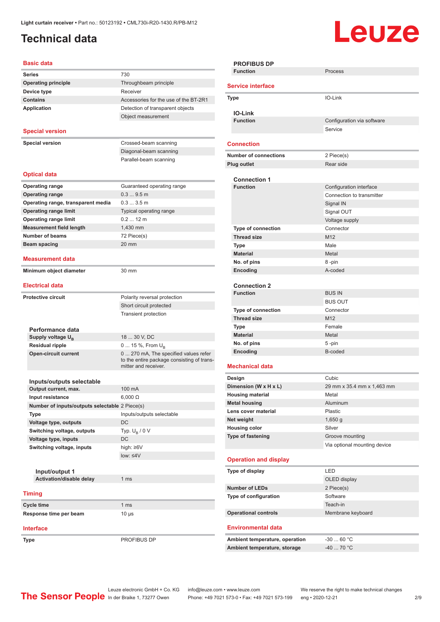## <span id="page-1-0"></span>**Technical data**

# Leuze

| <b>Basic data</b>                              |                                            |
|------------------------------------------------|--------------------------------------------|
| Series                                         | 730                                        |
| <b>Operating principle</b>                     | Throughbeam principle                      |
| Device type                                    | Receiver                                   |
| <b>Contains</b>                                | Accessories for the use of the BT-2R1      |
| <b>Application</b>                             | Detection of transparent objects           |
|                                                | Object measurement                         |
|                                                |                                            |
| <b>Special version</b>                         |                                            |
| <b>Special version</b>                         | Crossed-beam scanning                      |
|                                                | Diagonal-beam scanning                     |
|                                                | Parallel-beam scanning                     |
|                                                |                                            |
| <b>Optical data</b>                            |                                            |
| <b>Operating range</b>                         | Guaranteed operating range                 |
| <b>Operating range</b>                         | 0.39.5m                                    |
| Operating range, transparent media             | 0.33.5m                                    |
| <b>Operating range limit</b>                   | Typical operating range                    |
| <b>Operating range limit</b>                   | $0.212$ m                                  |
| <b>Measurement field length</b>                | 1,430 mm                                   |
| <b>Number of beams</b>                         | 72 Piece(s)                                |
| <b>Beam spacing</b>                            | 20 mm                                      |
|                                                |                                            |
| <b>Measurement data</b>                        |                                            |
| Minimum object diameter                        | 30 mm                                      |
|                                                |                                            |
| <b>Electrical data</b>                         |                                            |
| <b>Protective circuit</b>                      | Polarity reversal protection               |
|                                                | Short circuit protected                    |
|                                                | <b>Transient protection</b>                |
|                                                |                                            |
| Performance data<br>Supply voltage $U_{B}$     | 18  30 V, DC                               |
| <b>Residual ripple</b>                         | 0  15 %, From $U_{\rm B}$                  |
| <b>Open-circuit current</b>                    | 0  270 mA, The specified values refer      |
|                                                | to the entire package consisting of trans- |
|                                                | mitter and receiver.                       |
|                                                |                                            |
| Inputs/outputs selectable                      |                                            |
| Output current, max.<br>Input resistance       | 100 mA<br>$6,000 \Omega$                   |
| Number of inputs/outputs selectable 2 Piece(s) |                                            |
| Type                                           | Inputs/outputs selectable                  |
| Voltage type, outputs                          | DC                                         |
| Switching voltage, outputs                     | Typ. $U_R / 0 V$                           |
| Voltage type, inputs                           | DC                                         |
| Switching voltage, inputs                      | high: $\geq 6V$                            |
|                                                | low: < 4V                                  |
|                                                |                                            |
| Input/output 1                                 |                                            |
| Activation/disable delay                       | 1 <sub>ms</sub>                            |
|                                                |                                            |
| <b>Timing</b>                                  |                                            |
| Cycle time                                     | 1 <sub>ms</sub>                            |
| Response time per beam                         | $10 \mu s$                                 |
|                                                |                                            |
| <b>Interface</b>                               |                                            |

**Type** PROFIBUS DP

| <b>PROFIBUS DP</b>             |                              |  |  |
|--------------------------------|------------------------------|--|--|
| <b>Function</b>                | Process                      |  |  |
|                                |                              |  |  |
| <b>Service interface</b>       |                              |  |  |
| <b>Type</b>                    | IO-Link                      |  |  |
|                                |                              |  |  |
| <b>IO-Link</b>                 |                              |  |  |
| <b>Function</b>                | Configuration via software   |  |  |
|                                | Service                      |  |  |
|                                |                              |  |  |
| Connection                     |                              |  |  |
| <b>Number of connections</b>   | 2 Piece(s)                   |  |  |
| <b>Plug outlet</b>             | Rear side                    |  |  |
|                                |                              |  |  |
| <b>Connection 1</b>            |                              |  |  |
| <b>Function</b>                | Configuration interface      |  |  |
|                                | Connection to transmitter    |  |  |
|                                | Signal IN                    |  |  |
|                                | Signal OUT                   |  |  |
|                                | Voltage supply               |  |  |
| Type of connection             | Connector                    |  |  |
| <b>Thread size</b>             | M <sub>12</sub>              |  |  |
| <b>Type</b>                    | Male                         |  |  |
| <b>Material</b>                | Metal                        |  |  |
| No. of pins                    | 8-pin                        |  |  |
|                                | A-coded                      |  |  |
| Encoding                       |                              |  |  |
| <b>Connection 2</b>            |                              |  |  |
| <b>Function</b>                | <b>BUS IN</b>                |  |  |
|                                | <b>BUS OUT</b>               |  |  |
| <b>Type of connection</b>      | Connector                    |  |  |
| <b>Thread size</b>             | M12                          |  |  |
|                                | Female                       |  |  |
| Type                           |                              |  |  |
| <b>Material</b>                | Metal                        |  |  |
| No. of pins                    | 5-pin                        |  |  |
| Encoding                       | B-coded                      |  |  |
| <b>Mechanical data</b>         |                              |  |  |
|                                |                              |  |  |
| Design                         | Cubic                        |  |  |
| Dimension (W x H x L)          | 29 mm x 35.4 mm x 1,463 mm   |  |  |
| <b>Housing material</b>        | Metal                        |  |  |
| <b>Metal housing</b>           | Aluminum                     |  |  |
| Lens cover material            | Plastic                      |  |  |
| Net weight                     | 1,650q                       |  |  |
| <b>Housing color</b>           | Silver                       |  |  |
| <b>Type of fastening</b>       | Groove mounting              |  |  |
|                                | Via optional mounting device |  |  |
|                                |                              |  |  |
| <b>Operation and display</b>   |                              |  |  |
| Type of display                | LED                          |  |  |
|                                | OLED display                 |  |  |
| <b>Number of LEDs</b>          | 2 Piece(s)                   |  |  |
| Type of configuration          | Software                     |  |  |
|                                | Teach-in                     |  |  |
| <b>Operational controls</b>    | Membrane keyboard            |  |  |
|                                |                              |  |  |
|                                |                              |  |  |
| <b>Environmental data</b>      |                              |  |  |
|                                |                              |  |  |
| Ambient temperature, operation | $-3060 °C$                   |  |  |
| Ambient temperature, storage   | $-4070 °C$                   |  |  |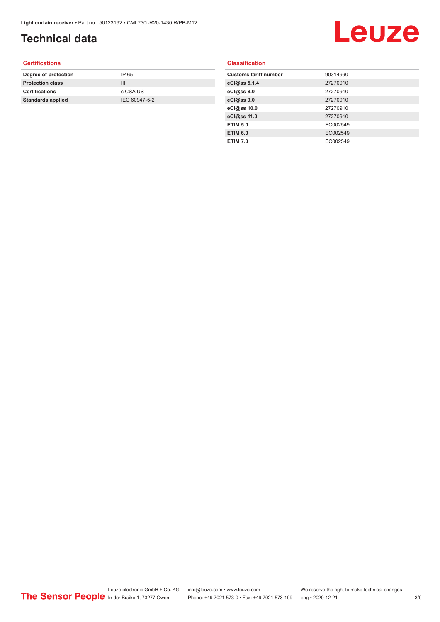## **Technical data**

# Leuze

#### **Certifications**

| Degree of protection     | IP 65         |
|--------------------------|---------------|
| <b>Protection class</b>  | Ш             |
| <b>Certifications</b>    | c CSA US      |
| <b>Standards applied</b> | IEC 60947-5-2 |
|                          |               |

#### **Classification**

| <b>Customs tariff number</b> | 90314990 |
|------------------------------|----------|
| eCl@ss 5.1.4                 | 27270910 |
| eCl@ss 8.0                   | 27270910 |
| eCl@ss 9.0                   | 27270910 |
| eCl@ss 10.0                  | 27270910 |
| eCl@ss 11.0                  | 27270910 |
| <b>ETIM 5.0</b>              | EC002549 |
| <b>ETIM 6.0</b>              | EC002549 |
| <b>ETIM 7.0</b>              | EC002549 |
|                              |          |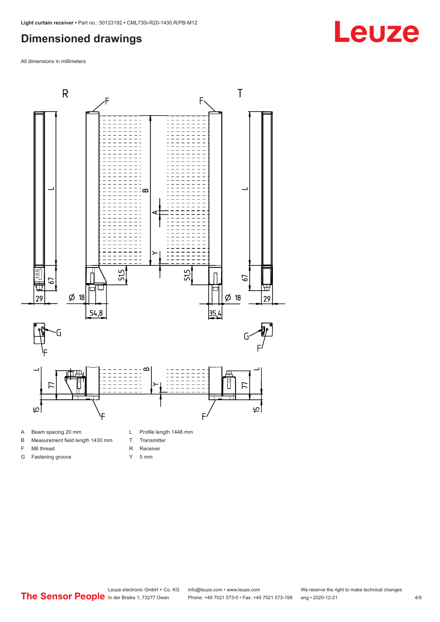#### <span id="page-3-0"></span>**Dimensioned drawings**

All dimensions in millimeters



- A Beam spacing 20 mm
- B Measurement field length 1430 mm
- F M6 thread

G Fastening groove

- R Receiver
	- Y 5 mm

T Transmitter

## **Leuze**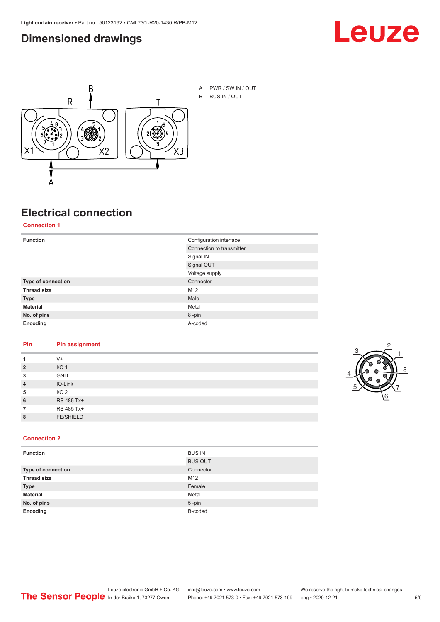#### <span id="page-4-0"></span>**Dimensioned drawings**





A PWR / SW IN / OUT B BUS IN / OUT

## **Electrical connection**

**Connection 1**

| <b>Function</b>    | Configuration interface   |
|--------------------|---------------------------|
|                    | Connection to transmitter |
|                    | Signal IN                 |
|                    | Signal OUT                |
|                    | Voltage supply            |
| Type of connection | Connector                 |
| <b>Thread size</b> | M12                       |
| <b>Type</b>        | Male                      |
| <b>Material</b>    | Metal                     |
| No. of pins        | 8-pin                     |
| Encoding           | A-coded                   |

#### **Pin Pin assignment**

|                | $V +$            |  |  |
|----------------|------------------|--|--|
| $\overline{2}$ | I/O <sub>1</sub> |  |  |
| 3              | <b>GND</b>       |  |  |
| $\overline{4}$ | IO-Link          |  |  |
| 5              | I/O <sub>2</sub> |  |  |
| 6              | RS 485 Tx+       |  |  |
|                | RS 485 Tx+       |  |  |
| 8              | <b>FE/SHIELD</b> |  |  |
|                |                  |  |  |



#### **Connection 2**

| <b>Function</b>    | <b>BUS IN</b>  |
|--------------------|----------------|
|                    | <b>BUS OUT</b> |
| Type of connection | Connector      |
| <b>Thread size</b> | M12            |
| <b>Type</b>        | Female         |
| <b>Material</b>    | Metal          |
| No. of pins        | $5$ -pin       |
| Encoding           | B-coded        |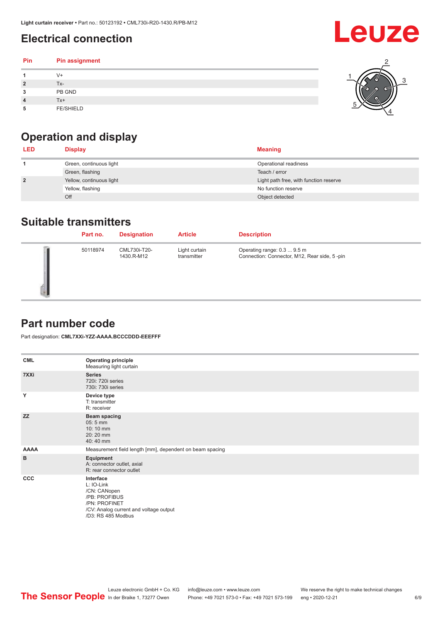## <span id="page-5-0"></span>**Electrical connection**

#### **Pin Pin assignment 1** V+ **2** Tx-**3** PB GND **4** Tx+ **5** FE/SHIELD 3 2 1 5 4

## **Operation and display**

| <b>LED</b>     | <b>Display</b>           | <b>Meaning</b>                         |
|----------------|--------------------------|----------------------------------------|
|                | Green, continuous light  | Operational readiness                  |
|                | Green, flashing          | Teach / error                          |
| $\overline{2}$ | Yellow, continuous light | Light path free, with function reserve |
|                | Yellow, flashing         | No function reserve                    |
|                | Off                      | Object detected                        |

#### **Suitable transmitters**

| Part no. | <b>Designation</b>         | <b>Article</b>               | <b>Description</b>                                                          |
|----------|----------------------------|------------------------------|-----------------------------------------------------------------------------|
| 50118974 | CML730i-T20-<br>1430.R-M12 | Light curtain<br>transmitter | Operating range: 0.3  9.5 m<br>Connection: Connector, M12, Rear side, 5-pin |

#### **Part number code**

Part designation: **CML7XXi-YZZ-AAAA.BCCCDDD-EEEFFF**

| <b>CML</b>  | <b>Operating principle</b><br>Measuring light curtain                                                                                     |
|-------------|-------------------------------------------------------------------------------------------------------------------------------------------|
| 7XXi        | <b>Series</b><br>720i: 720i series<br>730i: 730i series                                                                                   |
| Y           | Device type<br>T: transmitter<br>R: receiver                                                                                              |
| <b>ZZ</b>   | <b>Beam spacing</b><br>$05:5$ mm<br>10:10 mm<br>20:20 mm<br>40:40 mm                                                                      |
| <b>AAAA</b> | Measurement field length [mm], dependent on beam spacing                                                                                  |
| B           | Equipment<br>A: connector outlet, axial<br>R: rear connector outlet                                                                       |
| <b>CCC</b>  | Interface<br>L: IO-Link<br>/CN: CANopen<br>/PB: PROFIBUS<br>/PN: PROFINET<br>/CV: Analog current and voltage output<br>/D3: RS 485 Modbus |

Leuze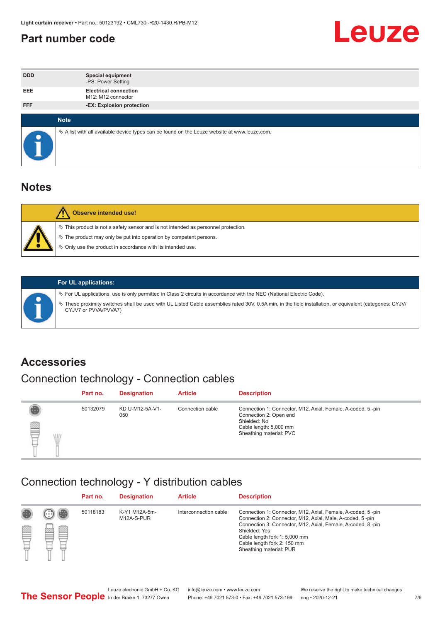#### <span id="page-6-0"></span>**Part number code**



| <b>DDD</b>  | <b>Special equipment</b><br>-PS: Power Setting                                                  |
|-------------|-------------------------------------------------------------------------------------------------|
| <b>EEE</b>  | <b>Electrical connection</b><br>M12: M12 connector                                              |
| <b>FFF</b>  | -EX: Explosion protection                                                                       |
| <b>Note</b> |                                                                                                 |
|             | $\&$ A list with all available device types can be found on the Leuze website at www.leuze.com. |

#### **Notes**

| $\%$ The product may only be put into operation by competent persons.<br>₿ Only use the product in accordance with its intended use. | $\%$ This product is not a safety sensor and is not intended as personnel protection. |
|--------------------------------------------------------------------------------------------------------------------------------------|---------------------------------------------------------------------------------------|



#### **For UL applications:**

ª For UL applications, use is only permitted in Class 2 circuits in accordance with the NEC (National Electric Code). ª These proximity switches shall be used with UL Listed Cable assemblies rated 30V, 0.5A min, in the field installation, or equivalent (categories: CYJV/ CYJV7 or PVVA/PVVA7)

#### **Accessories**

## Connection technology - Connection cables

|        | Part no. | <b>Designation</b>     | <b>Article</b>   | <b>Description</b>                                                                                                                                         |
|--------|----------|------------------------|------------------|------------------------------------------------------------------------------------------------------------------------------------------------------------|
| 2<br>W | 50132079 | KD U-M12-5A-V1-<br>050 | Connection cable | Connection 1: Connector, M12, Axial, Female, A-coded, 5-pin<br>Connection 2: Open end<br>Shielded: No<br>Cable length: 5,000 mm<br>Sheathing material: PVC |

#### Connection technology - Y distribution cables

|        |   | Part no. | <b>Designation</b>          | <b>Article</b>        | <b>Description</b>                                                                                                                                                                                                                                                                                  |
|--------|---|----------|-----------------------------|-----------------------|-----------------------------------------------------------------------------------------------------------------------------------------------------------------------------------------------------------------------------------------------------------------------------------------------------|
| 圔<br>⋿ | Ø | 50118183 | K-Y1 M12A-5m-<br>M12A-S-PUR | Interconnection cable | Connection 1: Connector, M12, Axial, Female, A-coded, 5-pin<br>Connection 2: Connector, M12, Axial, Male, A-coded, 5-pin<br>Connection 3: Connector, M12, Axial, Female, A-coded, 8-pin<br>Shielded: Yes<br>Cable length fork 1: 5,000 mm<br>Cable length fork 2: 150 mm<br>Sheathing material: PUR |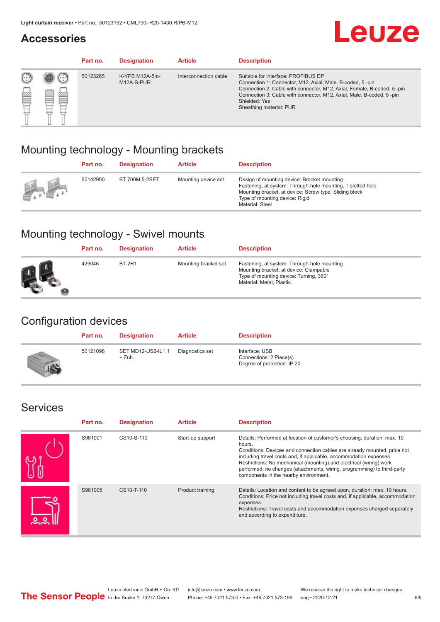#### **Accessories**

# **Leuze**

|     |         | Part no. | <b>Designation</b>           | <b>Article</b>        | <b>Description</b>                                                                                                                                                                                                                                                                             |
|-----|---------|----------|------------------------------|-----------------------|------------------------------------------------------------------------------------------------------------------------------------------------------------------------------------------------------------------------------------------------------------------------------------------------|
| 622 | ×<br>65 | 50123265 | K-YPB M12A-5m-<br>M12A-S-PUR | Interconnection cable | Suitable for interface: PROFIBUS DP<br>Connection 1: Connector, M12, Axial, Male, B-coded, 5-pin<br>Connection 2: Cable with connector, M12, Axial, Female, B-coded, 5-pin<br>Connection 3: Cable with connector, M12, Axial, Male, B-coded, 5-pin<br>Shielded: Yes<br>Sheathing material: PUR |

#### Mounting technology - Mounting brackets

|               | Part no. | <b>Designation</b> | <b>Article</b>      | <b>Description</b>                                                                                                                                                                                                        |
|---------------|----------|--------------------|---------------------|---------------------------------------------------------------------------------------------------------------------------------------------------------------------------------------------------------------------------|
| $\frac{1}{2}$ | 50142900 | BT 700M.5-2SET     | Mounting device set | Design of mounting device: Bracket mounting<br>Fastening, at system: Through-hole mounting, T slotted hole<br>Mounting bracket, at device: Screw type, Sliding block<br>Type of mounting device: Rigid<br>Material: Steel |

#### Mounting technology - Swivel mounts

| Part no. | <b>Designation</b> | <b>Article</b>       | <b>Description</b>                                                                                                                                          |
|----------|--------------------|----------------------|-------------------------------------------------------------------------------------------------------------------------------------------------------------|
| 429046   | <b>BT-2R1</b>      | Mounting bracket set | Fastening, at system: Through-hole mounting<br>Mounting bracket, at device: Clampable<br>Type of mounting device: Turning, 360°<br>Material: Metal, Plastic |

#### Configuration devices

| Part no. | <b>Designation</b>             | <b>Article</b>  | <b>Description</b>                                                       |
|----------|--------------------------------|-----------------|--------------------------------------------------------------------------|
| 50121098 | SET MD12-US2-IL1.1<br>$+$ Zub. | Diagnostics set | Interface: USB<br>Connections: 2 Piece(s)<br>Degree of protection: IP 20 |

#### Services

| Part no. | <b>Designation</b> | <b>Article</b>   | <b>Description</b>                                                                                                                                                                                                                                                                                                                                                                                                              |
|----------|--------------------|------------------|---------------------------------------------------------------------------------------------------------------------------------------------------------------------------------------------------------------------------------------------------------------------------------------------------------------------------------------------------------------------------------------------------------------------------------|
| S981001  | CS10-S-110         | Start-up support | Details: Performed at location of customer's choosing, duration: max. 10<br>hours.<br>Conditions: Devices and connection cables are already mounted, price not<br>including travel costs and, if applicable, accommodation expenses.<br>Restrictions: No mechanical (mounting) and electrical (wiring) work<br>performed, no changes (attachments, wiring, programming) to third-party<br>components in the nearby environment. |
| S981005  | CS10-T-110         | Product training | Details: Location and content to be agreed upon, duration: max. 10 hours.<br>Conditions: Price not including travel costs and, if applicable, accommodation<br>expenses.<br>Restrictions: Travel costs and accommodation expenses charged separately<br>and according to expenditure.                                                                                                                                           |